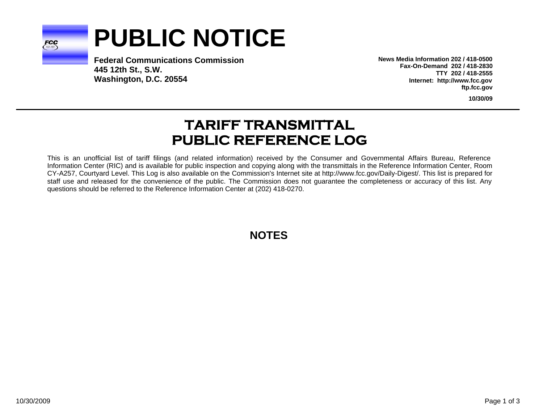

# **PUBLIC NOTICE**

**Federal Communications Commission445 12th St., S.W. Washington, D.C. 20554**

**News Media Information 202 / 418-0500Fax-On-Demand 202 / 418-2830TTY 202 / 418-2555Internet: http://www.fcc.gov ftp.fcc.gov**

**10/30/09**

# **TARIFF TRANSMITTAL PUBLIC REFERENCE LOG**

This is an unofficial list of tariff filings (and related information) received by the Consumer and Governmental Affairs Bureau, Reference Information Center (RIC) and is available for public inspection and copying along with the transmittals in the Reference Information Center, Room CY-A257, Courtyard Level. This Log is also available on the Commission's Internet site at http://www.fcc.gov/Daily-Digest/. This list is prepared for staff use and released for the convenience of the public. The Commission does not guarantee the completeness or accuracy of this list. Any questions should be referred to the Reference Information Center at (202) 418-0270.

**NOTES**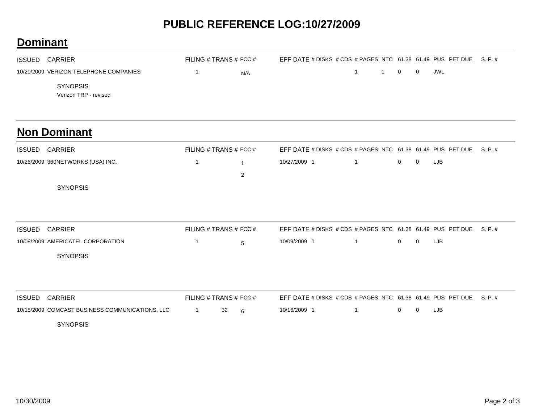## **PUBLIC REFERENCE LOG:10/27/2009**

### **Dominant**

| <b>ISSUED</b> | CARRIER                                  | FILING # TRANS # FCC # |     | EFF DATE # DISKS # CDS # PAGES NTC 61.38 61.49 PUS PET DUE S. P. # |         |  |     |  |
|---------------|------------------------------------------|------------------------|-----|--------------------------------------------------------------------|---------|--|-----|--|
|               | 10/20/2009 VERIZON TELEPHONE COMPANIES   |                        | N/A |                                                                    | 1 1 0 0 |  | JWL |  |
|               | <b>SYNOPSIS</b><br>Verizon TRP - revised |                        |     |                                                                    |         |  |     |  |

#### **Non Dominant**

| <b>ISSUED</b> | <b>CARRIER</b>                    | FILING # TRANS # FCC # |  | EFF DATE # DISKS # CDS # PAGES NTC 61.38 61.49 PUS PET DUE S. P. # |          |             |      |  |
|---------------|-----------------------------------|------------------------|--|--------------------------------------------------------------------|----------|-------------|------|--|
|               | 10/26/2009 360NETWORKS (USA) INC. |                        |  | 10/27/2009 1                                                       | $\sim$ 1 | $0\qquad 0$ | LJB. |  |
|               |                                   |                        |  |                                                                    |          |             |      |  |
|               | <b>SYNOPSIS</b>                   |                        |  |                                                                    |          |             |      |  |

| <b>ISSUED CARRIER</b>             | FILING # TRANS # FCC # |            | EFF DATE # DISKS # CDS # PAGES NTC 61.38 61.49 PUS PET DUE S. P. # |  |              |     |      |  |
|-----------------------------------|------------------------|------------|--------------------------------------------------------------------|--|--------------|-----|------|--|
| 10/08/2009 AMERICATEL CORPORATION |                        | $\sqrt{2}$ | 10/09/2009 1                                                       |  | $\mathbf{U}$ | - 0 | LJB. |  |
| <b>SYNOPSIS</b>                   |                        |            |                                                                    |  |              |     |      |  |

| ISSUED CARRIER                                  | FILING # TRANS # FCC # |  | EFF DATE # DISKS # CDS # PAGES NTC $61.38$ 61.49 PUS PET DUE S. P. # |  |         |  |
|-------------------------------------------------|------------------------|--|----------------------------------------------------------------------|--|---------|--|
| 10/15/2009 COMCAST BUSINESS COMMUNICATIONS, LLC |                        |  | 10/16/2009 1                                                         |  | 0 0 LJB |  |

SYNOPSIS